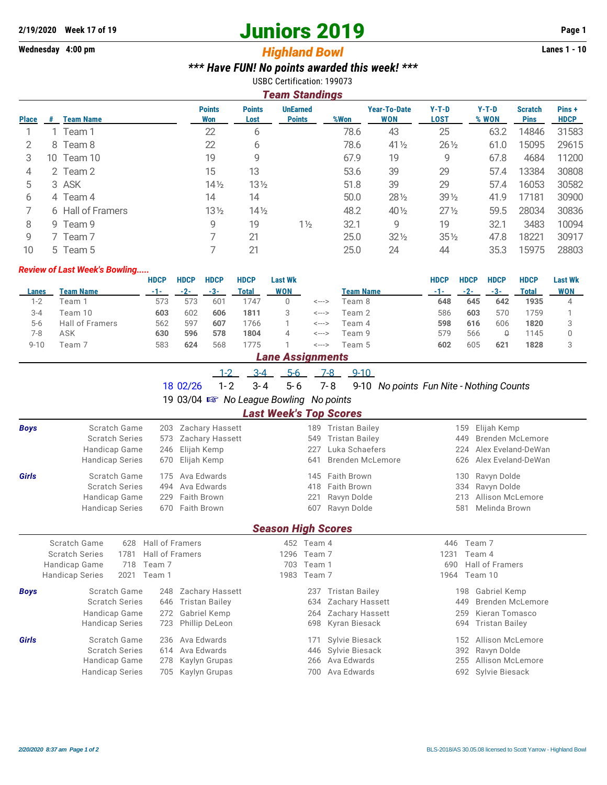# **2/19/2020 Week 17 of 19 Juniors 2019 Page 1**

## **Wednesday 4:00 pm** *Highland Bowl*

### *\*\*\* Have FUN! No points awarded this week! \*\*\**

USBC Certification: 199073

|              | <b>Team Standings</b> |                   |                      |                       |                                  |      |                                   |                        |                  |                               |                       |  |  |  |
|--------------|-----------------------|-------------------|----------------------|-----------------------|----------------------------------|------|-----------------------------------|------------------------|------------------|-------------------------------|-----------------------|--|--|--|
| <b>Place</b> | #                     | <b>Team Name</b>  | <b>Points</b><br>Won | <b>Points</b><br>Lost | <b>UnEarned</b><br><b>Points</b> | %Won | <b>Year-To-Date</b><br><b>WON</b> | $Y-T-D$<br><b>LOST</b> | $Y-T-D$<br>% WON | <b>Scratch</b><br><b>Pins</b> | Pins +<br><b>HDCP</b> |  |  |  |
|              |                       | 1 Team 1          | 22                   | 6                     |                                  | 78.6 | 43                                | 25                     | 63.2             | 14846                         | 31583                 |  |  |  |
|              | 8                     | Team 8            | 22                   | 6                     |                                  | 78.6 | $41\frac{1}{2}$                   | $26\frac{1}{2}$        | 61.0             | 15095                         | 29615                 |  |  |  |
| 3            | 10.                   | Team 10           | 19                   | 9                     |                                  | 67.9 | 19                                | 9                      | 67.8             | 4684                          | 11200                 |  |  |  |
| 4            |                       | 2 Team 2          | 15                   | 13                    |                                  | 53.6 | 39                                | 29                     | 57.4             | 13384                         | 30808                 |  |  |  |
| 5            |                       | 3 ASK             | $14\frac{1}{2}$      | $13\frac{1}{2}$       |                                  | 51.8 | 39                                | 29                     | 57.4             | 16053                         | 30582                 |  |  |  |
| 6            |                       | 4 Team 4          | 14                   | 14                    |                                  | 50.0 | $28\frac{1}{2}$                   | $39\frac{1}{2}$        | 41.9             | 17181                         | 30900                 |  |  |  |
|              |                       | 6 Hall of Framers | $13\frac{1}{2}$      | $14\frac{1}{2}$       |                                  | 48.2 | 40 $\frac{1}{2}$                  | $27\frac{1}{2}$        | 59.5             | 28034                         | 30836                 |  |  |  |
| 8            |                       | 9 Team 9          | 9                    | 19                    | $1\frac{1}{2}$                   | 32.1 | 9                                 | 19                     | 32.1             | 3483                          | 10094                 |  |  |  |
| 9            |                       | 7 Team 7          |                      | 21                    |                                  | 25.0 | $32\frac{1}{2}$                   | $35\frac{1}{2}$        | 47.8             | 18221                         | 30917                 |  |  |  |
| 10           |                       | 5 Team 5          |                      | 21                    |                                  | 25.0 | 24                                | 44                     | 35.3             | 15975                         | 28803                 |  |  |  |

#### *Review of Last Week's Bowling.....*

|          |                        | <b>HDCP</b> | <b>HDCP</b> | <b>HDCP</b> | <b>HDCP</b> | <b>Last Wk</b> |       |                  | HDCP | <b>HDCP</b> | <b>HDCP</b> | <b>HDCP</b> | <b>Last Wk</b> |
|----------|------------------------|-------------|-------------|-------------|-------------|----------------|-------|------------------|------|-------------|-------------|-------------|----------------|
| Lanes    | Team Name              | -1-         | $-2-$       | -3-         | Total       | WON            |       | <b>Team Name</b> | -1-  | -2-         | -3-         | Total       | <b>WON</b>     |
| $1-2$    | Team 1                 | 573         | 573         | 601         | 1747        | 0              | <---> | Team 8           | 648  | 645         | 642         | 1935        |                |
| $3 - 4$  | Team 10                | 603         | 602         | 606         | 1811        |                | <---> | Team 2           | 586  | 603         | 570         | 759         |                |
| $5-6$    | <b>Hall of Framers</b> | 562         | 597         | 607         | 1766        |                | <---> | Team 4           | 598  | 616         | 606         | 1820        |                |
| 7-8      | ASK                    | 630         | 596         | 578         | 1804        | 4              | <---> | Team 9           | 579  | 566         | $\theta$    | 145         |                |
| $9 - 10$ | Team J                 | 583         | 624         | 568         | 1775        |                | <---> | Team 5           | 602  | 605         | 621         | 1828        |                |
|          |                        |             |             |             |             |                |       |                  |      |             |             |             |                |

## *Lane Assignments*

| ۔ |  |  | . . | $\sqrt{2}$ |  |
|---|--|--|-----|------------|--|
|---|--|--|-----|------------|--|

|  | 18 02/26  1-2  3-4  5-6  7-8  9-10  No points Fun Nite - Nothing Counts |  |  |  |  |  |  |  |  |  |
|--|-------------------------------------------------------------------------|--|--|--|--|--|--|--|--|--|
|--|-------------------------------------------------------------------------|--|--|--|--|--|--|--|--|--|

19 03/04  $\approx$  No League Bowling No points

# *Last Week's Top Scores*

| <b>Boys</b>               | Scratch Game           | 203 Zachary Hassett |  |               | 189 Tristan Bailey | 159           | Elijah Kemp             |  |  |  |  |
|---------------------------|------------------------|---------------------|--|---------------|--------------------|---------------|-------------------------|--|--|--|--|
|                           | <b>Scratch Series</b>  | 573 Zachary Hassett |  |               | 549 Tristan Bailey | 449           | <b>Brenden McLemore</b> |  |  |  |  |
|                           | Handicap Game          | 246 Elijah Kemp     |  | 227           | Luka Schaefers     |               | 224 Alex Eveland-DeWan  |  |  |  |  |
|                           | <b>Handicap Series</b> | 670 Elijah Kemp     |  | 641           | Brenden McLemore   |               | 626 Alex Eveland-DeWan  |  |  |  |  |
| <b>Girls</b>              | Scratch Game           | 175 Ava Edwards     |  |               | 145 Faith Brown    |               | 130 Ravyn Dolde         |  |  |  |  |
|                           | <b>Scratch Series</b>  | 494 Ava Edwards     |  |               | 418 Faith Brown    |               | 334 Ravyn Dolde         |  |  |  |  |
|                           | Handicap Game          | 229 Faith Brown     |  | 221           | Ravyn Dolde        | 213           | Allison McLemore        |  |  |  |  |
|                           | <b>Handicap Series</b> | 670 Faith Brown     |  | 607           | Ravyn Dolde        | 581           | Melinda Brown           |  |  |  |  |
| <b>Season High Scores</b> |                        |                     |  |               |                    |               |                         |  |  |  |  |
|                           | Scratch Game           | 628 Hall of Framers |  | Team 4<br>452 |                    | Team 7<br>446 |                         |  |  |  |  |

|             | <b>Scratch Series</b><br>Handicap Game<br>718<br><b>Handicap Series</b><br>2021 | 1781 Hall of Framers<br>Team 7<br>Team 1 |                     | 703 | 1296 Team 7<br>Team 1<br>1983 Team 7 |                     | 1231<br>1964 Team 10 | Team 4 | 690 Hall of Framers     |  |
|-------------|---------------------------------------------------------------------------------|------------------------------------------|---------------------|-----|--------------------------------------|---------------------|----------------------|--------|-------------------------|--|
| <b>Boys</b> | Scratch Game                                                                    |                                          | 248 Zachary Hassett |     | 237                                  | Tristan Bailey      |                      | 198    | Gabriel Kemp            |  |
|             | <b>Scratch Series</b>                                                           |                                          | 646 Tristan Bailey  |     |                                      | 634 Zachary Hassett |                      | 449    | <b>Brenden McLemore</b> |  |
|             | Handicap Game                                                                   |                                          | 272 Gabriel Kemp    |     |                                      | 264 Zachary Hassett |                      | 259    | Kieran Tomasco          |  |
|             | <b>Handicap Series</b>                                                          |                                          | 723 Phillip DeLeon  |     |                                      | 698 Kyran Biesack   |                      |        | 694 Tristan Bailey      |  |
| Girls       | Scratch Game                                                                    |                                          | 236 Ava Edwards     |     | 171                                  | Sylvie Biesack      |                      | 152    | <b>Allison McLemore</b> |  |
|             | <b>Scratch Series</b>                                                           |                                          | 614 Ava Edwards     |     |                                      | 446 Sylvie Biesack  |                      |        | 392 Ravyn Dolde         |  |
|             | Handicap Game                                                                   |                                          | 278 Kaylyn Grupas   |     |                                      | 266 Ava Edwards     |                      |        | 255 Allison McLemore    |  |
|             | <b>Handicap Series</b>                                                          |                                          | 705 Kaylyn Grupas   |     |                                      | 700 Ava Edwards     |                      |        | 692 Sylvie Biesack      |  |